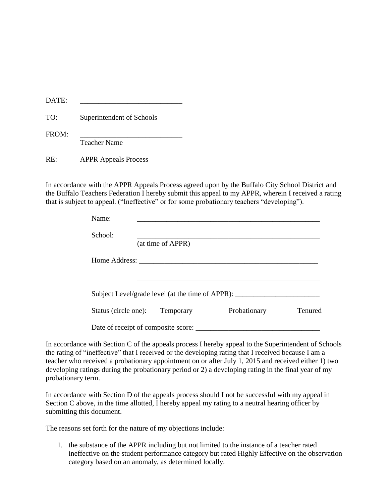| <b>DATE</b> |  |
|-------------|--|
|-------------|--|

TO: Superintendent of Schools

| FROM: |                     |
|-------|---------------------|
|       | <b>Teacher Name</b> |

RE: APPR Appeals Process

In accordance with the APPR Appeals Process agreed upon by the Buffalo City School District and the Buffalo Teachers Federation I hereby submit this appeal to my APPR, wherein I received a rating that is subject to appeal. ("Ineffective" or for some probationary teachers "developing").

| Name:                               |                   |                                                                                  |         |
|-------------------------------------|-------------------|----------------------------------------------------------------------------------|---------|
| School:                             | (at time of APPR) |                                                                                  |         |
| Home Address:                       |                   |                                                                                  |         |
|                                     |                   |                                                                                  |         |
|                                     |                   | Subject Level/grade level (at the time of APPR): _______________________________ |         |
| Status (circle one):                | Temporary         | Probationary                                                                     | Tenured |
| Date of receipt of composite score: |                   |                                                                                  |         |

In accordance with Section C of the appeals process I hereby appeal to the Superintendent of Schools the rating of "ineffective" that I received or the developing rating that I received because I am a teacher who received a probationary appointment on or after July 1, 2015 and received either 1) two developing ratings during the probationary period or 2) a developing rating in the final year of my probationary term.

In accordance with Section D of the appeals process should I not be successful with my appeal in Section C above, in the time allotted, I hereby appeal my rating to a neutral hearing officer by submitting this document.

The reasons set forth for the nature of my objections include:

1. the substance of the APPR including but not limited to the instance of a teacher rated ineffective on the student performance category but rated Highly Effective on the observation category based on an anomaly, as determined locally.